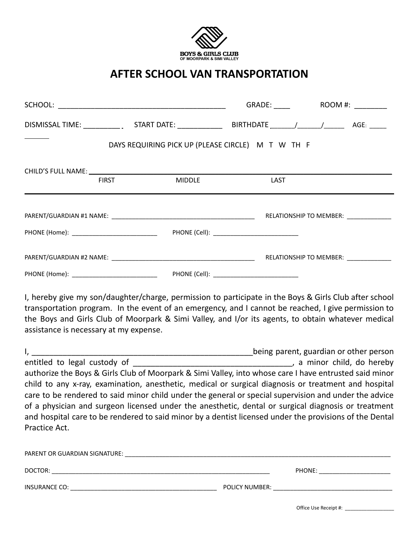

## **AFTER SCHOOL VAN TRANSPORTATION**

|  |              |        | DAYS REQUIRING PICK UP (PLEASE CIRCLE) M T W TH F |                                                                                                                                                                                                              |
|--|--------------|--------|---------------------------------------------------|--------------------------------------------------------------------------------------------------------------------------------------------------------------------------------------------------------------|
|  |              |        |                                                   |                                                                                                                                                                                                              |
|  | <b>FIRST</b> | MIDDLE | LAST                                              |                                                                                                                                                                                                              |
|  |              |        |                                                   |                                                                                                                                                                                                              |
|  |              |        |                                                   |                                                                                                                                                                                                              |
|  |              |        |                                                   |                                                                                                                                                                                                              |
|  |              |        |                                                   |                                                                                                                                                                                                              |
|  |              |        |                                                   |                                                                                                                                                                                                              |
|  |              |        |                                                   | I, hereby give my son/daughter/charge, permission to participate in the Boys & Girls Club after school<br>transportation program. In the event of an emergency, and I cannot be reached. Lgive permission to |

transportation program. In the event of an emergency, and I cannot be reached, I give permission to the Boys and Girls Club of Moorpark & Simi Valley, and I/or its agents, to obtain whatever medical assistance is necessary at my expense.

|                                                                                                         | being parent, guardian or other person |
|---------------------------------------------------------------------------------------------------------|----------------------------------------|
| entitled to legal custody of                                                                            | , a minor child, do hereby             |
| authorize the Boys & Girls Club of Moorpark & Simi Valley, into whose care I have entrusted said minor  |                                        |
| child to any x-ray, examination, anesthetic, medical or surgical diagnosis or treatment and hospital    |                                        |
| care to be rendered to said minor child under the general or special supervision and under the advice   |                                        |
| of a physician and surgeon licensed under the anesthetic, dental or surgical diagnosis or treatment     |                                        |
| and hospital care to be rendered to said minor by a dentist licensed under the provisions of the Dental |                                        |
| Practice Act.                                                                                           |                                        |

| PARENT OR GUARDIAN SIGNATURE: |                |
|-------------------------------|----------------|
| DOCTOR:                       | PHONE:         |
| INSURANCE CO:                 | POLICY NUMBER: |

Office Use Receipt #: \_\_\_\_\_\_\_\_\_\_\_\_\_\_\_\_\_\_